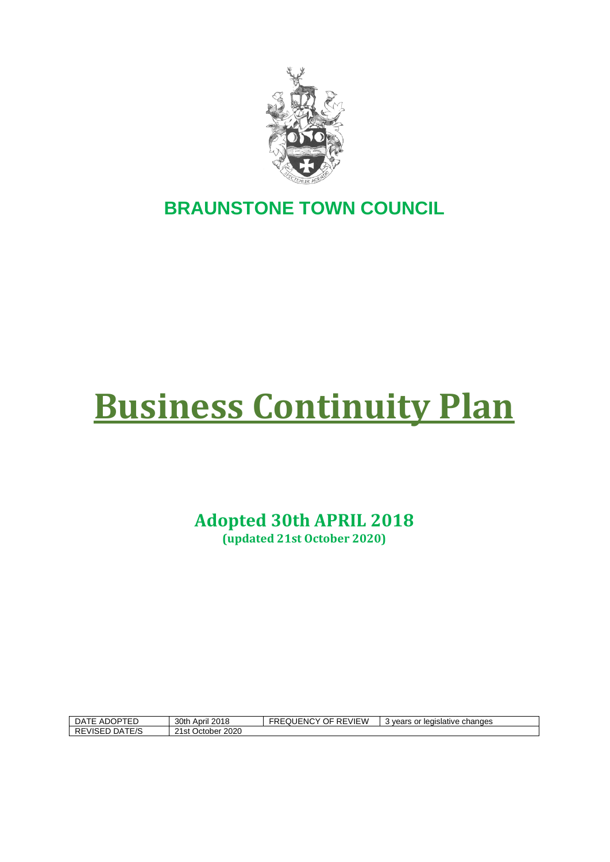

## **BRAUNSTONE TOWN COUNCIL**

# **Business Continuity Plan**

**Adopted 30th APRIL 2018**

**(updated 21st October 2020)**

| $\alpha$ = ADOPTFT.<br>DATE | 30th April 2018         | :Y OF<br><b>REVIEW</b><br><b>FREQUENC</b> | changes<br>≅or leɑislative<br>3 vears<br>$\cdot$ |
|-----------------------------|-------------------------|-------------------------------------------|--------------------------------------------------|
| DATE/S<br><b>REVISED</b>    | 2020<br>21st<br>October |                                           |                                                  |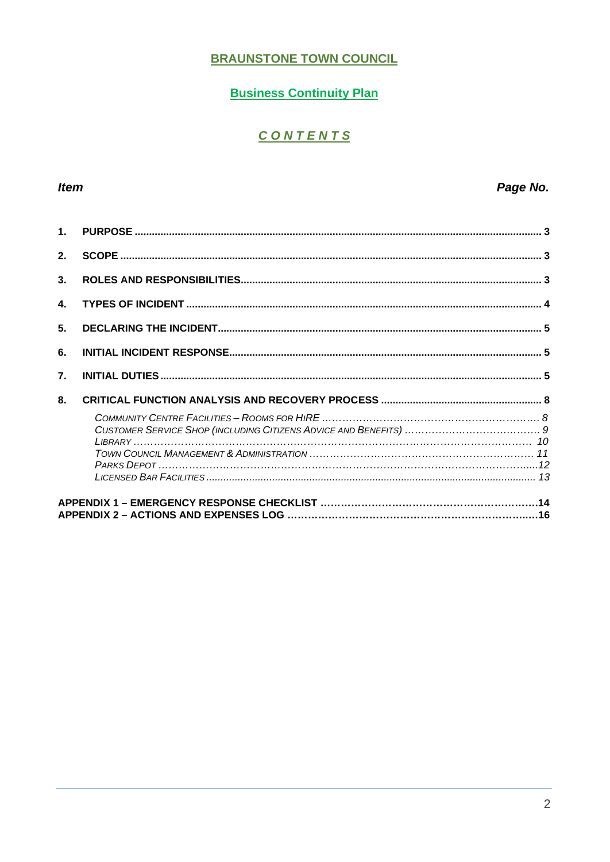#### **BRAUNSTONE TOWN COUNCIL**

#### **Business Continuity Plan**

## CONTENTS

#### Item

#### Page No.

| 1 <sub>1</sub>   |  |
|------------------|--|
| 2.               |  |
| 3.               |  |
| 4.               |  |
| 5.               |  |
| 6.               |  |
| $\overline{7}$ . |  |
| 8.               |  |
|                  |  |
|                  |  |
|                  |  |
|                  |  |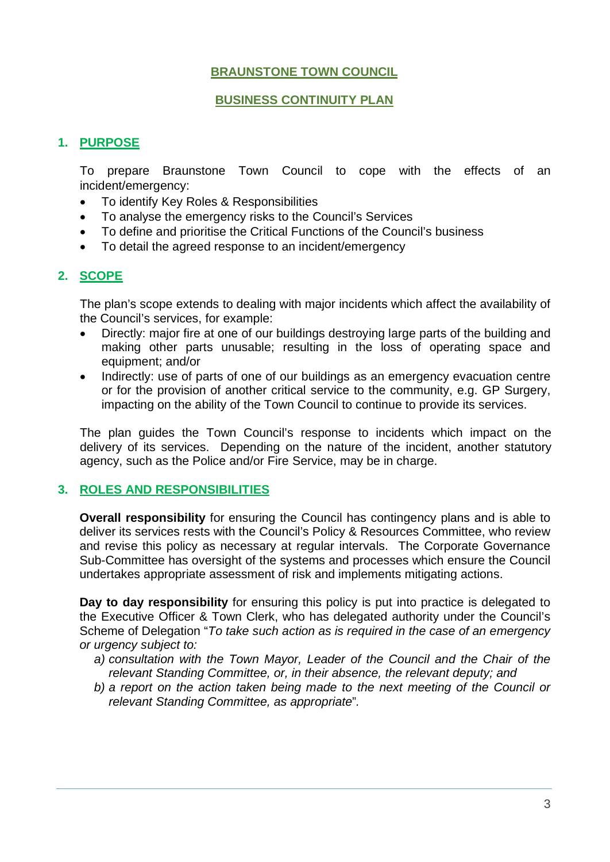#### **BRAUNSTONE TOWN COUNCIL**

#### **BUSINESS CONTINUITY PLAN**

#### <span id="page-2-0"></span>**1. PURPOSE**

To prepare Braunstone Town Council to cope with the effects of an incident/emergency:

- To identify Key Roles & Responsibilities
- To analyse the emergency risks to the Council's Services
- To define and prioritise the Critical Functions of the Council's business
- To detail the agreed response to an incident/emergency

#### <span id="page-2-1"></span>**2. SCOPE**

The plan's scope extends to dealing with major incidents which affect the availability of the Council's services, for example:

- Directly: major fire at one of our buildings destroying large parts of the building and making other parts unusable; resulting in the loss of operating space and equipment; and/or
- Indirectly: use of parts of one of our buildings as an emergency evacuation centre or for the provision of another critical service to the community, e.g. GP Surgery, impacting on the ability of the Town Council to continue to provide its services.

The plan guides the Town Council's response to incidents which impact on the delivery of its services. Depending on the nature of the incident, another statutory agency, such as the Police and/or Fire Service, may be in charge.

#### <span id="page-2-2"></span>**3. ROLES AND RESPONSIBILITIES**

**Overall responsibility** for ensuring the Council has contingency plans and is able to deliver its services rests with the Council's Policy & Resources Committee, who review and revise this policy as necessary at regular intervals. The Corporate Governance Sub-Committee has oversight of the systems and processes which ensure the Council undertakes appropriate assessment of risk and implements mitigating actions.

**Day to day responsibility** for ensuring this policy is put into practice is delegated to the Executive Officer & Town Clerk, who has delegated authority under the Council's Scheme of Delegation "*To take such action as is required in the case of an emergency or urgency subject to:*

- *a) consultation with the Town Mayor, Leader of the Council and the Chair of the relevant Standing Committee, or, in their absence, the relevant deputy; and*
- *b) a report on the action taken being made to the next meeting of the Council or relevant Standing Committee, as appropriate*"*.*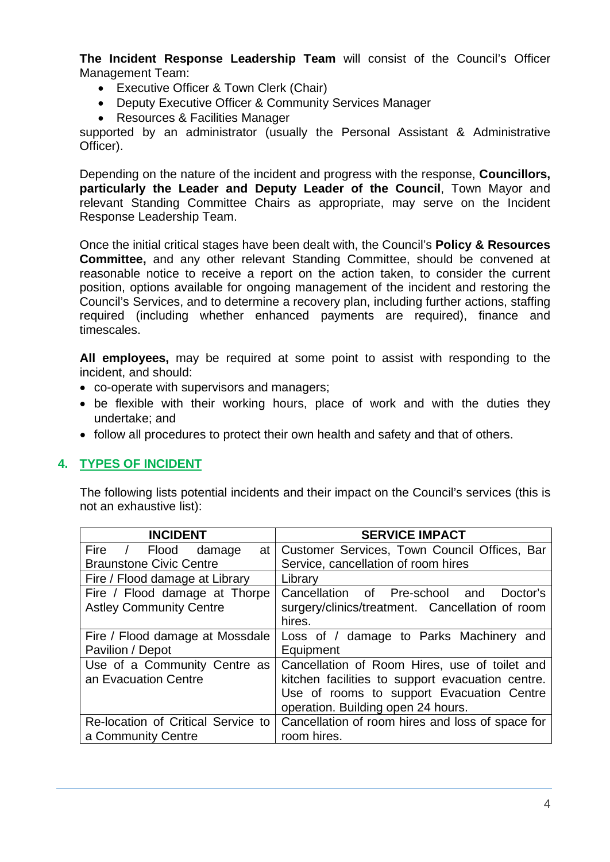**The Incident Response Leadership Team** will consist of the Council's Officer Management Team:

- Executive Officer & Town Clerk (Chair)
- Deputy Executive Officer & Community Services Manager
- Resources & Facilities Manager

supported by an administrator (usually the Personal Assistant & Administrative Officer).

Depending on the nature of the incident and progress with the response, **Councillors, particularly the Leader and Deputy Leader of the Council**, Town Mayor and relevant Standing Committee Chairs as appropriate, may serve on the Incident Response Leadership Team.

Once the initial critical stages have been dealt with, the Council's **Policy & Resources Committee,** and any other relevant Standing Committee, should be convened at reasonable notice to receive a report on the action taken, to consider the current position, options available for ongoing management of the incident and restoring the Council's Services, and to determine a recovery plan, including further actions, staffing required (including whether enhanced payments are required), finance and timescales.

**All employees,** may be required at some point to assist with responding to the incident, and should:

- co-operate with supervisors and managers;
- be flexible with their working hours, place of work and with the duties they undertake; and
- follow all procedures to protect their own health and safety and that of others.

#### <span id="page-3-0"></span>**4. TYPES OF INCIDENT**

The following lists potential incidents and their impact on the Council's services (this is not an exhaustive list):

| <b>INCIDENT</b>                    | <b>SERVICE IMPACT</b>                             |
|------------------------------------|---------------------------------------------------|
| Fire / Flood damage                | at   Customer Services, Town Council Offices, Bar |
| <b>Braunstone Civic Centre</b>     | Service, cancellation of room hires               |
| Fire / Flood damage at Library     | Library                                           |
| Fire / Flood damage at Thorpe      | Cancellation of Pre-school and<br>Doctor's        |
| <b>Astley Community Centre</b>     | surgery/clinics/treatment. Cancellation of room   |
|                                    | hires.                                            |
| Fire / Flood damage at Mossdale    | Loss of / damage to Parks Machinery<br>and        |
| Pavilion / Depot                   | Equipment                                         |
| Use of a Community Centre as       | Cancellation of Room Hires, use of toilet and     |
| an Evacuation Centre               | kitchen facilities to support evacuation centre.  |
|                                    | Use of rooms to support Evacuation Centre         |
|                                    | operation. Building open 24 hours.                |
| Re-location of Critical Service to | Cancellation of room hires and loss of space for  |
| a Community Centre                 | room hires.                                       |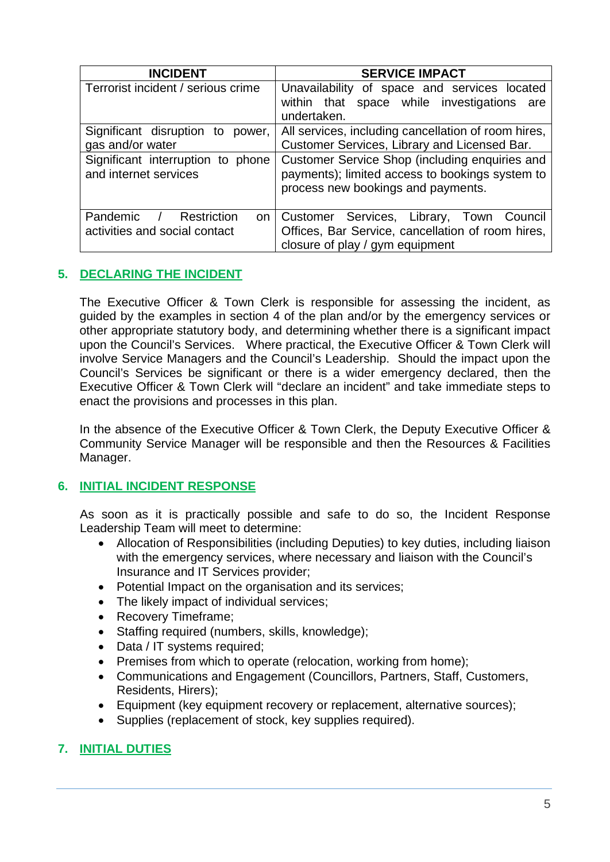| <b>INCIDENT</b>                                                      | <b>SERVICE IMPACT</b>                                                                                                                   |
|----------------------------------------------------------------------|-----------------------------------------------------------------------------------------------------------------------------------------|
| Terrorist incident / serious crime                                   | Unavailability of space and services located                                                                                            |
|                                                                      | within that space while investigations<br>are<br>undertaken.                                                                            |
|                                                                      |                                                                                                                                         |
| Significant disruption to<br>power,                                  | All services, including cancellation of room hires,                                                                                     |
| gas and/or water                                                     | Customer Services, Library and Licensed Bar.                                                                                            |
| Significant interruption to phone<br>and internet services           | Customer Service Shop (including enquiries and<br>payments); limited access to bookings system to<br>process new bookings and payments. |
| Pandemic / Restriction<br><b>on</b><br>activities and social contact | Customer Services, Library, Town Council<br>Offices, Bar Service, cancellation of room hires.<br>closure of play / gym equipment        |

#### <span id="page-4-0"></span>**5. DECLARING THE INCIDENT**

The Executive Officer & Town Clerk is responsible for assessing the incident, as guided by the examples in section 4 of the plan and/or by the emergency services or other appropriate statutory body, and determining whether there is a significant impact upon the Council's Services. Where practical, the Executive Officer & Town Clerk will involve Service Managers and the Council's Leadership. Should the impact upon the Council's Services be significant or there is a wider emergency declared, then the Executive Officer & Town Clerk will "declare an incident" and take immediate steps to enact the provisions and processes in this plan.

In the absence of the Executive Officer & Town Clerk, the Deputy Executive Officer & Community Service Manager will be responsible and then the Resources & Facilities Manager.

#### <span id="page-4-1"></span>**6. INITIAL INCIDENT RESPONSE**

As soon as it is practically possible and safe to do so, the Incident Response Leadership Team will meet to determine:

- Allocation of Responsibilities (including Deputies) to key duties, including liaison with the emergency services, where necessary and liaison with the Council's Insurance and IT Services provider;
- Potential Impact on the organisation and its services;
- The likely impact of individual services;
- Recovery Timeframe;
- Staffing required (numbers, skills, knowledge);
- Data / IT systems required;
- Premises from which to operate (relocation, working from home);
- Communications and Engagement (Councillors, Partners, Staff, Customers, Residents, Hirers);
- Equipment (key equipment recovery or replacement, alternative sources);
- Supplies (replacement of stock, key supplies required).

#### <span id="page-4-2"></span>**7. INITIAL DUTIES**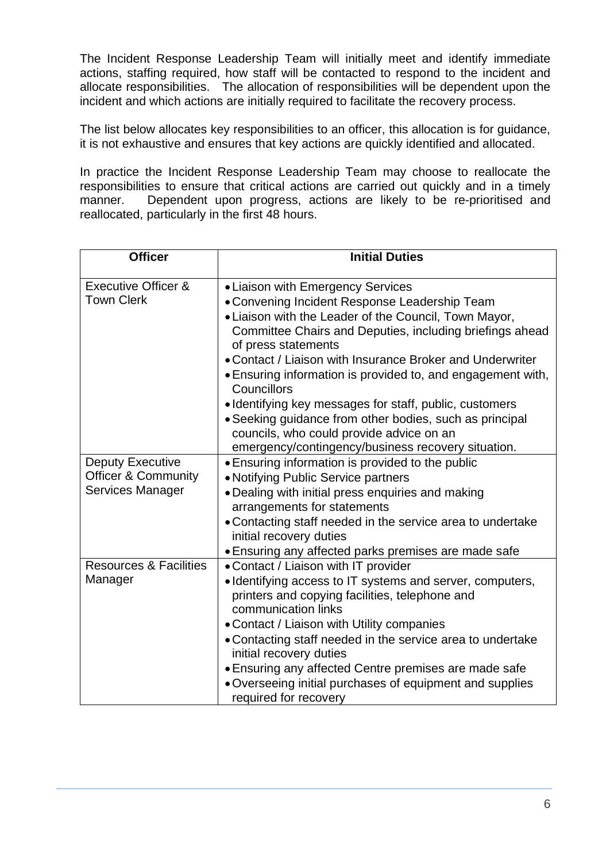The Incident Response Leadership Team will initially meet and identify immediate actions, staffing required, how staff will be contacted to respond to the incident and allocate responsibilities. The allocation of responsibilities will be dependent upon the incident and which actions are initially required to facilitate the recovery process.

The list below allocates key responsibilities to an officer, this allocation is for guidance, it is not exhaustive and ensures that key actions are quickly identified and allocated.

In practice the Incident Response Leadership Team may choose to reallocate the responsibilities to ensure that critical actions are carried out quickly and in a timely manner. Dependent upon progress, actions are likely to be re-prioritised and reallocated, particularly in the first 48 hours.

| <b>Officer</b>                    | <b>Initial Duties</b>                                                                 |
|-----------------------------------|---------------------------------------------------------------------------------------|
| <b>Executive Officer &amp;</b>    | • Liaison with Emergency Services                                                     |
| <b>Town Clerk</b>                 | • Convening Incident Response Leadership Team                                         |
|                                   | • Liaison with the Leader of the Council, Town Mayor,                                 |
|                                   | Committee Chairs and Deputies, including briefings ahead                              |
|                                   | of press statements                                                                   |
|                                   | • Contact / Liaison with Insurance Broker and Underwriter                             |
|                                   | • Ensuring information is provided to, and engagement with,<br>Councillors            |
|                                   | • Identifying key messages for staff, public, customers                               |
|                                   | • Seeking guidance from other bodies, such as principal                               |
|                                   | councils, who could provide advice on an                                              |
|                                   | emergency/contingency/business recovery situation.                                    |
| <b>Deputy Executive</b>           | • Ensuring information is provided to the public                                      |
| Officer & Community               | • Notifying Public Service partners                                                   |
| Services Manager                  | • Dealing with initial press enquiries and making                                     |
|                                   | arrangements for statements                                                           |
|                                   | • Contacting staff needed in the service area to undertake                            |
|                                   | initial recovery duties                                                               |
|                                   | • Ensuring any affected parks premises are made safe                                  |
| <b>Resources &amp; Facilities</b> | • Contact / Liaison with IT provider                                                  |
| Manager                           | • Identifying access to IT systems and server, computers,                             |
|                                   | printers and copying facilities, telephone and                                        |
|                                   | communication links                                                                   |
|                                   | • Contact / Liaison with Utility companies                                            |
|                                   | • Contacting staff needed in the service area to undertake<br>initial recovery duties |
|                                   | • Ensuring any affected Centre premises are made safe                                 |
|                                   | • Overseeing initial purchases of equipment and supplies                              |
|                                   | required for recovery                                                                 |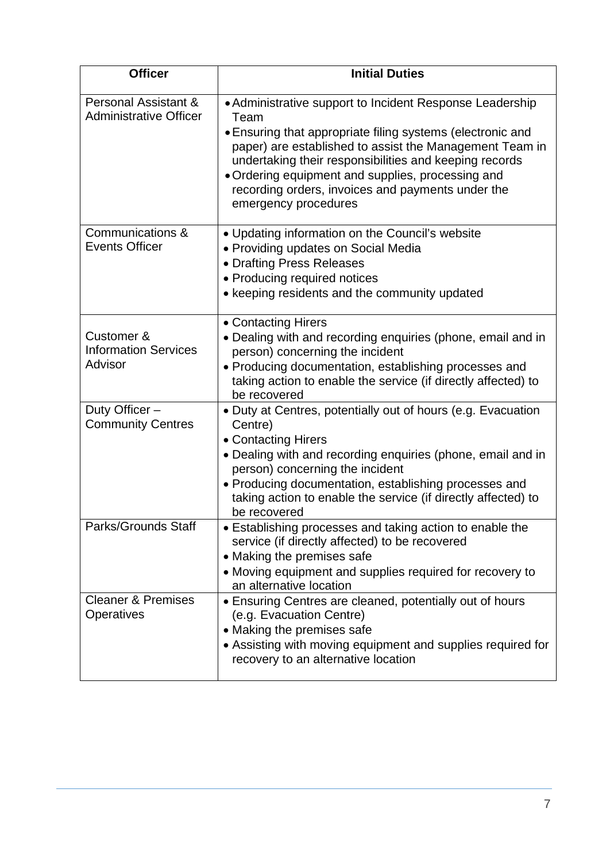| <b>Officer</b>                                        | <b>Initial Duties</b>                                                                                                                                                                                                                                                                                                                                                                 |
|-------------------------------------------------------|---------------------------------------------------------------------------------------------------------------------------------------------------------------------------------------------------------------------------------------------------------------------------------------------------------------------------------------------------------------------------------------|
| Personal Assistant &<br><b>Administrative Officer</b> | • Administrative support to Incident Response Leadership<br>Team<br>• Ensuring that appropriate filing systems (electronic and<br>paper) are established to assist the Management Team in<br>undertaking their responsibilities and keeping records<br>• Ordering equipment and supplies, processing and<br>recording orders, invoices and payments under the<br>emergency procedures |
| Communications &<br><b>Events Officer</b>             | • Updating information on the Council's website<br>• Providing updates on Social Media<br>• Drafting Press Releases<br>• Producing required notices<br>• keeping residents and the community updated                                                                                                                                                                                  |
| Customer &<br><b>Information Services</b><br>Advisor  | • Contacting Hirers<br>• Dealing with and recording enquiries (phone, email and in<br>person) concerning the incident<br>• Producing documentation, establishing processes and<br>taking action to enable the service (if directly affected) to<br>be recovered                                                                                                                       |
| Duty Officer-<br><b>Community Centres</b>             | • Duty at Centres, potentially out of hours (e.g. Evacuation<br>Centre)<br>• Contacting Hirers<br>• Dealing with and recording enquiries (phone, email and in<br>person) concerning the incident<br>• Producing documentation, establishing processes and<br>taking action to enable the service (if directly affected) to<br>be recovered                                            |
| <b>Parks/Grounds Staff</b>                            | • Establishing processes and taking action to enable the<br>service (if directly affected) to be recovered<br>• Making the premises safe<br>• Moving equipment and supplies required for recovery to<br>an alternative location                                                                                                                                                       |
| <b>Cleaner &amp; Premises</b><br>Operatives           | • Ensuring Centres are cleaned, potentially out of hours<br>(e.g. Evacuation Centre)<br>• Making the premises safe<br>• Assisting with moving equipment and supplies required for<br>recovery to an alternative location                                                                                                                                                              |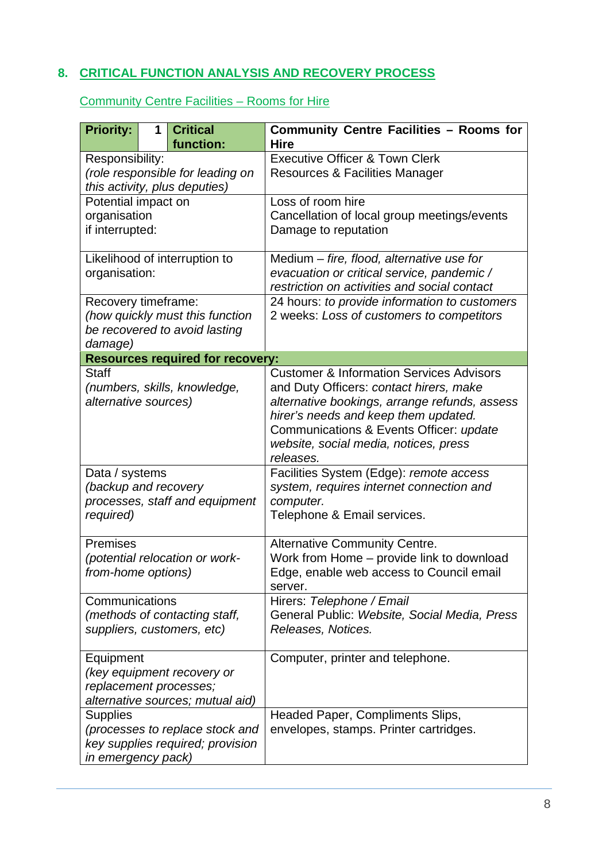#### <span id="page-7-0"></span>**8. CRITICAL FUNCTION ANALYSIS AND RECOVERY PROCESS**

Community Centre Facilities – Rooms for Hire

| <b>Priority:</b>                                                                                             | 1 | <b>Critical</b><br>function:                                     | <b>Community Centre Facilities - Rooms for</b><br><b>Hire</b>                                                                                                                                                                                                                            |
|--------------------------------------------------------------------------------------------------------------|---|------------------------------------------------------------------|------------------------------------------------------------------------------------------------------------------------------------------------------------------------------------------------------------------------------------------------------------------------------------------|
| Responsibility:<br>(role responsible for leading on<br>this activity, plus deputies)                         |   |                                                                  | <b>Executive Officer &amp; Town Clerk</b><br><b>Resources &amp; Facilities Manager</b>                                                                                                                                                                                                   |
| Potential impact on<br>organisation<br>if interrupted:                                                       |   |                                                                  | Loss of room hire<br>Cancellation of local group meetings/events<br>Damage to reputation                                                                                                                                                                                                 |
| organisation:                                                                                                |   | Likelihood of interruption to                                    | Medium - fire, flood, alternative use for<br>evacuation or critical service, pandemic /<br>restriction on activities and social contact                                                                                                                                                  |
| Recovery timeframe:<br>damage)                                                                               |   | (how quickly must this function<br>be recovered to avoid lasting | 24 hours: to provide information to customers<br>2 weeks: Loss of customers to competitors                                                                                                                                                                                               |
|                                                                                                              |   | <b>Resources required for recovery:</b>                          |                                                                                                                                                                                                                                                                                          |
| <b>Staff</b><br>(numbers, skills, knowledge,<br>alternative sources)                                         |   |                                                                  | <b>Customer &amp; Information Services Advisors</b><br>and Duty Officers: contact hirers, make<br>alternative bookings, arrange refunds, assess<br>hirer's needs and keep them updated.<br>Communications & Events Officer: update<br>website, social media, notices, press<br>releases. |
| Data / systems<br>(backup and recovery<br>processes, staff and equipment<br>required)                        |   |                                                                  | Facilities System (Edge): remote access<br>system, requires internet connection and<br>computer.<br>Telephone & Email services.                                                                                                                                                          |
| Premises<br>(potential relocation or work-<br>from-home options)                                             |   |                                                                  | <b>Alternative Community Centre.</b><br>Work from Home - provide link to download<br>Edge, enable web access to Council email<br>server.                                                                                                                                                 |
| Communications<br>(methods of contacting staff,<br>suppliers, customers, etc)                                |   |                                                                  | Hirers: Telephone / Email<br>General Public: Website, Social Media, Press<br>Releases, Notices.                                                                                                                                                                                          |
| Equipment<br>(key equipment recovery or<br>replacement processes;<br>alternative sources; mutual aid)        |   |                                                                  | Computer, printer and telephone.                                                                                                                                                                                                                                                         |
| <b>Supplies</b><br>(processes to replace stock and<br>key supplies required; provision<br>in emergency pack) |   |                                                                  | Headed Paper, Compliments Slips,<br>envelopes, stamps. Printer cartridges.                                                                                                                                                                                                               |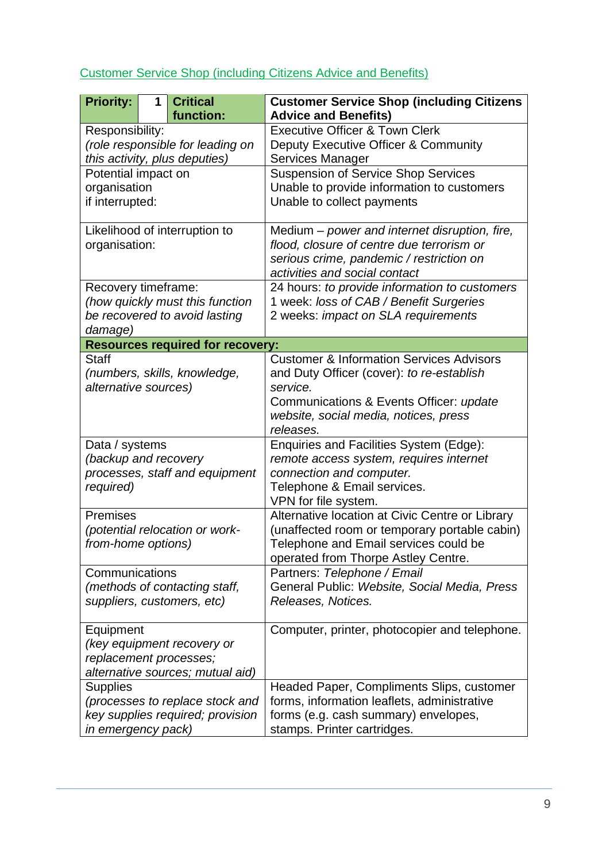| <b>Priority:</b>                                                                                             | 1 | <b>Critical</b><br>function:                                     | <b>Customer Service Shop (including Citizens</b><br><b>Advice and Benefits)</b>                                                                                                                               |
|--------------------------------------------------------------------------------------------------------------|---|------------------------------------------------------------------|---------------------------------------------------------------------------------------------------------------------------------------------------------------------------------------------------------------|
| Responsibility:<br>(role responsible for leading on<br>this activity, plus deputies)                         |   |                                                                  | <b>Executive Officer &amp; Town Clerk</b><br>Deputy Executive Officer & Community<br>Services Manager                                                                                                         |
| Potential impact on<br>organisation<br>if interrupted:                                                       |   |                                                                  | <b>Suspension of Service Shop Services</b><br>Unable to provide information to customers<br>Unable to collect payments                                                                                        |
| Likelihood of interruption to<br>organisation:                                                               |   |                                                                  | Medium - power and internet disruption, fire,<br>flood, closure of centre due terrorism or<br>serious crime, pandemic / restriction on<br>activities and social contact                                       |
| Recovery timeframe:<br>damage)                                                                               |   | (how quickly must this function<br>be recovered to avoid lasting | 24 hours: to provide information to customers<br>1 week: loss of CAB / Benefit Surgeries<br>2 weeks: impact on SLA requirements                                                                               |
|                                                                                                              |   | <b>Resources required for recovery:</b>                          |                                                                                                                                                                                                               |
| <b>Staff</b><br>(numbers, skills, knowledge,<br>alternative sources)                                         |   |                                                                  | <b>Customer &amp; Information Services Advisors</b><br>and Duty Officer (cover): to re-establish<br>service.<br>Communications & Events Officer: update<br>website, social media, notices, press<br>releases. |
| Data / systems<br>(backup and recovery<br>processes, staff and equipment<br>required)                        |   |                                                                  | Enquiries and Facilities System (Edge):<br>remote access system, requires internet<br>connection and computer.<br>Telephone & Email services.<br>VPN for file system.                                         |
| Premises<br>(potential relocation or work-<br>from-home options)                                             |   |                                                                  | Alternative location at Civic Centre or Library<br>(unaffected room or temporary portable cabin)<br>Telephone and Email services could be<br>operated from Thorpe Astley Centre.                              |
| Communications<br>(methods of contacting staff,<br>suppliers, customers, etc)                                |   |                                                                  | Partners: Telephone / Email<br>General Public: Website, Social Media, Press<br>Releases, Notices.                                                                                                             |
| Equipment<br>(key equipment recovery or<br>replacement processes;<br>alternative sources; mutual aid)        |   |                                                                  | Computer, printer, photocopier and telephone.                                                                                                                                                                 |
| <b>Supplies</b><br>(processes to replace stock and<br>key supplies required; provision<br>in emergency pack) |   |                                                                  | Headed Paper, Compliments Slips, customer<br>forms, information leaflets, administrative<br>forms (e.g. cash summary) envelopes,<br>stamps. Printer cartridges.                                               |

#### Customer Service Shop (including Citizens Advice and Benefits)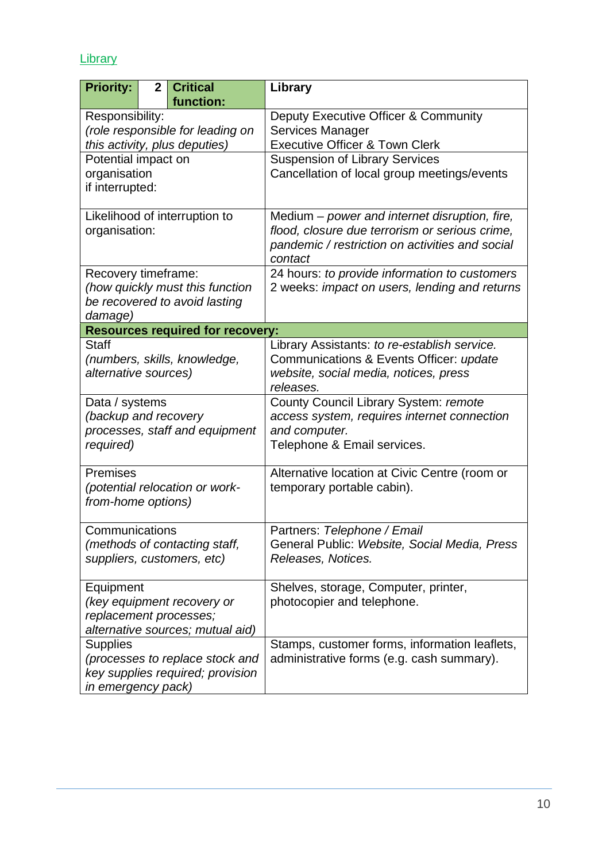## **Library**

| <b>Priority:</b>                 | $\mathbf{2}$ | <b>Critical</b><br>function:                                | Library                                                                                 |
|----------------------------------|--------------|-------------------------------------------------------------|-----------------------------------------------------------------------------------------|
| Responsibility:                  |              |                                                             | Deputy Executive Officer & Community                                                    |
| (role responsible for leading on |              |                                                             | <b>Services Manager</b>                                                                 |
| this activity, plus deputies)    |              |                                                             | <b>Executive Officer &amp; Town Clerk</b>                                               |
| Potential impact on              |              |                                                             | <b>Suspension of Library Services</b>                                                   |
| organisation                     |              |                                                             | Cancellation of local group meetings/events                                             |
| if interrupted:                  |              |                                                             |                                                                                         |
|                                  |              | Likelihood of interruption to                               | Medium – power and internet disruption, fire,                                           |
| organisation:                    |              |                                                             | flood, closure due terrorism or serious crime,                                          |
|                                  |              |                                                             | pandemic / restriction on activities and social<br>contact                              |
| Recovery timeframe:              |              |                                                             | 24 hours: to provide information to customers                                           |
|                                  |              | (how quickly must this function                             | 2 weeks: impact on users, lending and returns                                           |
|                                  |              | be recovered to avoid lasting                               |                                                                                         |
| damage)                          |              |                                                             |                                                                                         |
| <b>Staff</b>                     |              | <b>Resources required for recovery:</b>                     |                                                                                         |
|                                  |              | (numbers, skills, knowledge,                                | Library Assistants: to re-establish service.<br>Communications & Events Officer: update |
| alternative sources)             |              |                                                             | website, social media, notices, press                                                   |
|                                  |              |                                                             | releases.                                                                               |
| Data / systems                   |              |                                                             | County Council Library System: remote                                                   |
| (backup and recovery             |              |                                                             | access system, requires internet connection                                             |
|                                  |              | processes, staff and equipment                              | and computer.                                                                           |
| required)                        |              |                                                             | Telephone & Email services.                                                             |
| Premises                         |              |                                                             | Alternative location at Civic Centre (room or                                           |
|                                  |              | (potential relocation or work-                              | temporary portable cabin).                                                              |
| from-home options)               |              |                                                             |                                                                                         |
|                                  |              |                                                             |                                                                                         |
| Communications                   |              |                                                             | Partners: Telephone / Email<br>General Public: Website, Social Media, Press             |
|                                  |              | (methods of contacting staff,<br>suppliers, customers, etc) | Releases, Notices.                                                                      |
|                                  |              |                                                             |                                                                                         |
| Equipment                        |              |                                                             | Shelves, storage, Computer, printer,                                                    |
| (key equipment recovery or       |              |                                                             | photocopier and telephone.                                                              |
| replacement processes;           |              |                                                             |                                                                                         |
| alternative sources; mutual aid) |              |                                                             |                                                                                         |
| <b>Supplies</b>                  |              |                                                             | Stamps, customer forms, information leaflets,                                           |
| (processes to replace stock and  |              |                                                             | administrative forms (e.g. cash summary).                                               |
| key supplies required; provision |              |                                                             |                                                                                         |
| in emergency pack)               |              |                                                             |                                                                                         |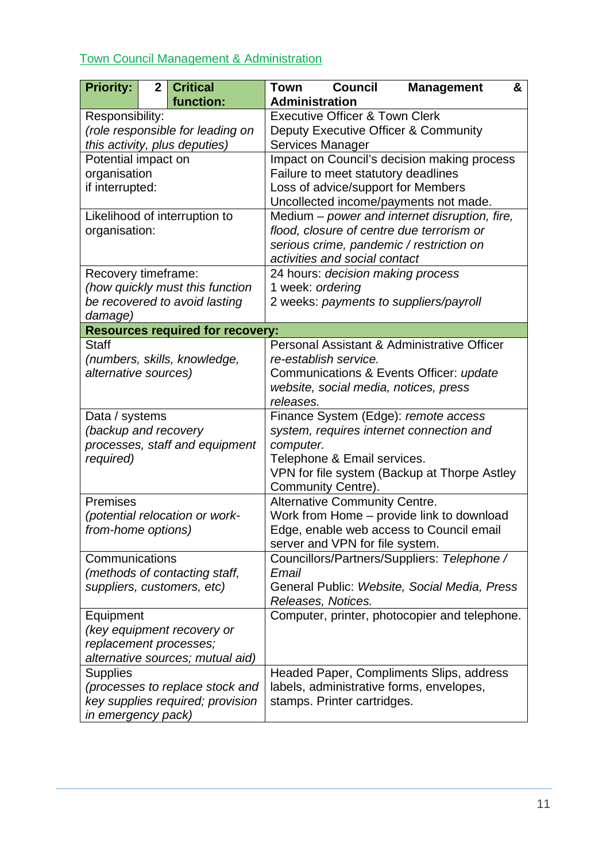## Town Council Management & Administration

| <b>Priority:</b>                 | $\mathbf{2}$                     | <b>Critical</b>                         | <b>Town</b>                               | <b>Council</b>                                             | <b>Management</b>                             | & |
|----------------------------------|----------------------------------|-----------------------------------------|-------------------------------------------|------------------------------------------------------------|-----------------------------------------------|---|
|                                  |                                  | function:                               | <b>Administration</b>                     |                                                            |                                               |   |
| Responsibility:                  |                                  |                                         | <b>Executive Officer &amp; Town Clerk</b> |                                                            |                                               |   |
| (role responsible for leading on |                                  |                                         |                                           |                                                            | Deputy Executive Officer & Community          |   |
| this activity, plus deputies)    |                                  |                                         | Services Manager                          |                                                            |                                               |   |
| Potential impact on              |                                  |                                         |                                           |                                                            | Impact on Council's decision making process   |   |
| organisation                     |                                  |                                         |                                           | Failure to meet statutory deadlines                        |                                               |   |
| if interrupted:                  |                                  |                                         |                                           |                                                            | Loss of advice/support for Members            |   |
|                                  |                                  |                                         |                                           |                                                            | Uncollected income/payments not made.         |   |
|                                  |                                  | Likelihood of interruption to           |                                           |                                                            | Medium - power and internet disruption, fire, |   |
| organisation:                    |                                  |                                         |                                           |                                                            | flood, closure of centre due terrorism or     |   |
|                                  |                                  |                                         |                                           | activities and social contact                              | serious crime, pandemic / restriction on      |   |
| Recovery timeframe:              |                                  |                                         |                                           | 24 hours: decision making process                          |                                               |   |
|                                  |                                  | (how quickly must this function         | 1 week: ordering                          |                                                            |                                               |   |
|                                  |                                  | be recovered to avoid lasting           |                                           |                                                            | 2 weeks: payments to suppliers/payroll        |   |
| damage)                          |                                  |                                         |                                           |                                                            |                                               |   |
|                                  |                                  | <b>Resources required for recovery:</b> |                                           |                                                            |                                               |   |
| <b>Staff</b>                     |                                  |                                         |                                           |                                                            | Personal Assistant & Administrative Officer   |   |
|                                  |                                  | (numbers, skills, knowledge,            |                                           | re-establish service.                                      |                                               |   |
| alternative sources)             |                                  |                                         |                                           |                                                            | Communications & Events Officer: update       |   |
|                                  |                                  |                                         |                                           |                                                            | website, social media, notices, press         |   |
|                                  |                                  |                                         | releases.                                 |                                                            |                                               |   |
| Data / systems                   |                                  |                                         |                                           |                                                            | Finance System (Edge): remote access          |   |
| (backup and recovery             |                                  |                                         |                                           |                                                            | system, requires internet connection and      |   |
|                                  |                                  | processes, staff and equipment          | computer.                                 |                                                            |                                               |   |
| required)                        |                                  |                                         |                                           | Telephone & Email services.                                |                                               |   |
|                                  |                                  |                                         |                                           |                                                            | VPN for file system (Backup at Thorpe Astley  |   |
| Premises                         |                                  |                                         |                                           | Community Centre).<br><b>Alternative Community Centre.</b> |                                               |   |
|                                  |                                  | (potential relocation or work-          |                                           |                                                            | Work from Home - provide link to download     |   |
| from-home options)               |                                  |                                         |                                           |                                                            | Edge, enable web access to Council email      |   |
|                                  |                                  |                                         |                                           | server and VPN for file system.                            |                                               |   |
| Communications                   |                                  |                                         |                                           |                                                            | Councillors/Partners/Suppliers: Telephone /   |   |
|                                  |                                  | (methods of contacting staff,           | Email                                     |                                                            |                                               |   |
|                                  |                                  | suppliers, customers, etc)              |                                           |                                                            | General Public: Website, Social Media, Press  |   |
|                                  |                                  | Releases, Notices.                      |                                           |                                                            |                                               |   |
|                                  | Equipment                        |                                         |                                           |                                                            | Computer, printer, photocopier and telephone. |   |
|                                  | (key equipment recovery or       |                                         |                                           |                                                            |                                               |   |
| replacement processes;           |                                  |                                         |                                           |                                                            |                                               |   |
| alternative sources; mutual aid) |                                  |                                         |                                           |                                                            |                                               |   |
| <b>Supplies</b>                  |                                  |                                         |                                           |                                                            | Headed Paper, Compliments Slips, address      |   |
|                                  | (processes to replace stock and  |                                         |                                           |                                                            | labels, administrative forms, envelopes,      |   |
|                                  | key supplies required; provision |                                         |                                           | stamps. Printer cartridges.                                |                                               |   |
| in emergency pack)               |                                  |                                         |                                           |                                                            |                                               |   |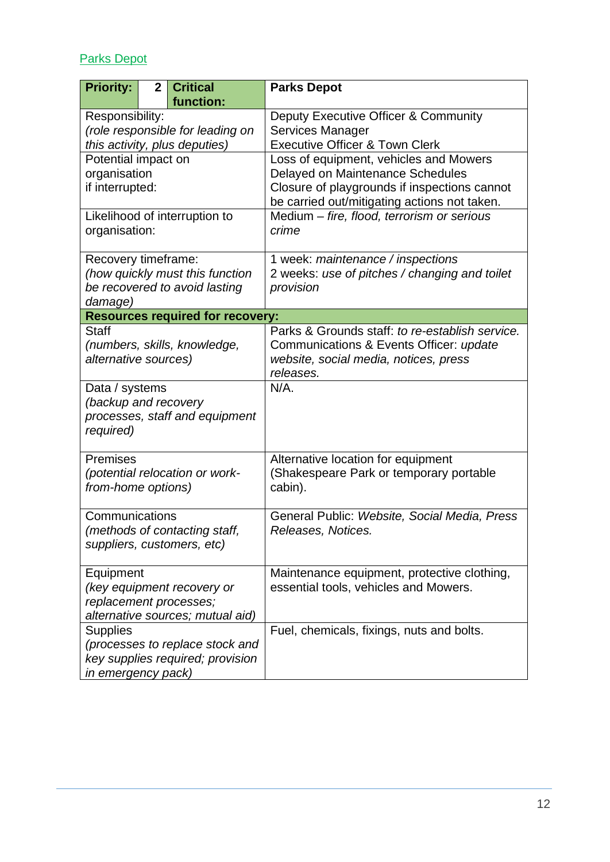## Parks Depot

| <b>Priority:</b>                 | $\mathbf{2}$ | <b>Critical</b><br>function:            | <b>Parks Depot</b>                              |
|----------------------------------|--------------|-----------------------------------------|-------------------------------------------------|
| Responsibility:                  |              |                                         | Deputy Executive Officer & Community            |
| (role responsible for leading on |              |                                         | Services Manager                                |
| this activity, plus deputies)    |              |                                         | <b>Executive Officer &amp; Town Clerk</b>       |
| Potential impact on              |              |                                         | Loss of equipment, vehicles and Mowers          |
| organisation                     |              |                                         | Delayed on Maintenance Schedules                |
| if interrupted:                  |              |                                         | Closure of playgrounds if inspections cannot    |
|                                  |              |                                         | be carried out/mitigating actions not taken.    |
|                                  |              | Likelihood of interruption to           | Medium - fire, flood, terrorism or serious      |
| organisation:                    |              |                                         | crime                                           |
| Recovery timeframe:              |              |                                         | 1 week: maintenance / inspections               |
|                                  |              | (how quickly must this function         | 2 weeks: use of pitches / changing and toilet   |
|                                  |              | be recovered to avoid lasting           | provision                                       |
| damage)                          |              |                                         |                                                 |
|                                  |              | <b>Resources required for recovery:</b> |                                                 |
| <b>Staff</b>                     |              |                                         | Parks & Grounds staff: to re-establish service. |
|                                  |              | (numbers, skills, knowledge,            | Communications & Events Officer: update         |
| alternative sources)             |              |                                         | website, social media, notices, press           |
|                                  |              |                                         | releases.                                       |
| Data / systems                   |              |                                         | $N/A$ .                                         |
| (backup and recovery             |              |                                         |                                                 |
|                                  |              | processes, staff and equipment          |                                                 |
| required)                        |              |                                         |                                                 |
| Premises                         |              |                                         | Alternative location for equipment              |
|                                  |              | (potential relocation or work-          | (Shakespeare Park or temporary portable         |
| from-home options)               |              |                                         | cabin).                                         |
|                                  |              |                                         |                                                 |
| Communications                   |              |                                         | General Public: Website, Social Media, Press    |
|                                  |              | (methods of contacting staff,           | Releases, Notices.                              |
| suppliers, customers, etc)       |              |                                         |                                                 |
| Equipment                        |              |                                         | Maintenance equipment, protective clothing,     |
| (key equipment recovery or       |              |                                         | essential tools, vehicles and Mowers.           |
| replacement processes;           |              |                                         |                                                 |
| alternative sources; mutual aid) |              |                                         |                                                 |
| <b>Supplies</b>                  |              |                                         | Fuel, chemicals, fixings, nuts and bolts.       |
| (processes to replace stock and  |              |                                         |                                                 |
| key supplies required; provision |              |                                         |                                                 |
| in emergency pack)               |              |                                         |                                                 |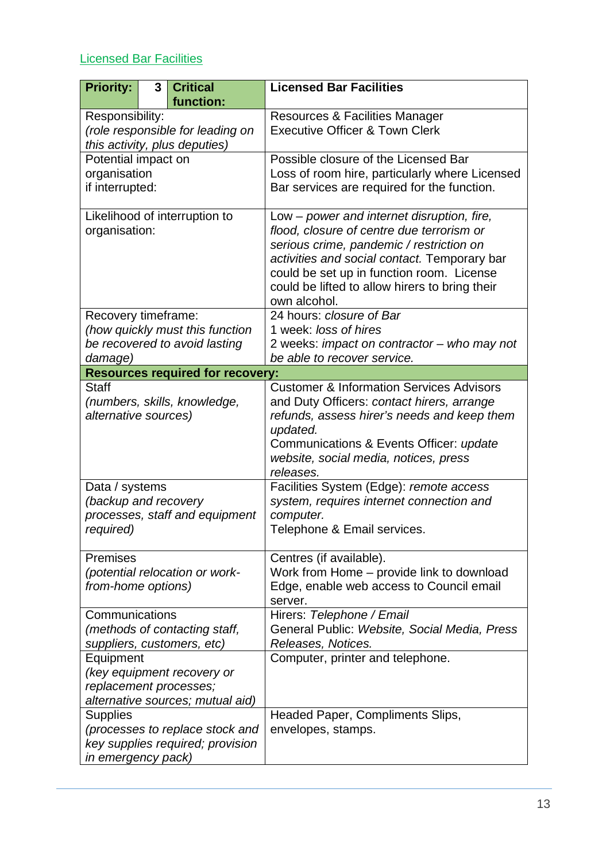## <span id="page-12-0"></span>Licensed Bar Facilities

| <b>Priority:</b>                 | 3 | <b>Critical</b><br>function:            | <b>Licensed Bar Facilities</b>                                                          |
|----------------------------------|---|-----------------------------------------|-----------------------------------------------------------------------------------------|
| Responsibility:                  |   |                                         | <b>Resources &amp; Facilities Manager</b>                                               |
|                                  |   | (role responsible for leading on        | <b>Executive Officer &amp; Town Clerk</b>                                               |
| this activity, plus deputies)    |   |                                         |                                                                                         |
| Potential impact on              |   |                                         | Possible closure of the Licensed Bar                                                    |
| organisation                     |   |                                         | Loss of room hire, particularly where Licensed                                          |
| if interrupted:                  |   |                                         | Bar services are required for the function.                                             |
|                                  |   |                                         |                                                                                         |
| organisation:                    |   | Likelihood of interruption to           | Low – power and internet disruption, fire,<br>flood, closure of centre due terrorism or |
|                                  |   |                                         | serious crime, pandemic / restriction on                                                |
|                                  |   |                                         | activities and social contact. Temporary bar                                            |
|                                  |   |                                         | could be set up in function room. License                                               |
|                                  |   |                                         | could be lifted to allow hirers to bring their                                          |
|                                  |   |                                         | own alcohol.                                                                            |
| Recovery timeframe:              |   |                                         | 24 hours: closure of Bar                                                                |
|                                  |   | (how quickly must this function         | 1 week: loss of hires                                                                   |
|                                  |   | be recovered to avoid lasting           | 2 weeks: impact on contractor - who may not                                             |
| damage)                          |   |                                         | be able to recover service.                                                             |
|                                  |   | <b>Resources required for recovery:</b> |                                                                                         |
| <b>Staff</b>                     |   |                                         | <b>Customer &amp; Information Services Advisors</b>                                     |
|                                  |   | (numbers, skills, knowledge,            | and Duty Officers: contact hirers, arrange                                              |
| alternative sources)             |   |                                         | refunds, assess hirer's needs and keep them<br>updated.                                 |
|                                  |   |                                         | Communications & Events Officer: update                                                 |
|                                  |   |                                         | website, social media, notices, press                                                   |
|                                  |   |                                         | releases.                                                                               |
| Data / systems                   |   |                                         | Facilities System (Edge): remote access                                                 |
| (backup and recovery             |   |                                         | system, requires internet connection and                                                |
|                                  |   | processes, staff and equipment          | computer.                                                                               |
| required)                        |   |                                         | Telephone & Email services.                                                             |
|                                  |   |                                         |                                                                                         |
| <b>Premises</b>                  |   | (potential relocation or work-          | Centres (if available).<br>Work from Home - provide link to download                    |
| from-home options)               |   |                                         | Edge, enable web access to Council email                                                |
|                                  |   |                                         | server.                                                                                 |
| Communications                   |   |                                         | Hirers: Telephone / Email                                                               |
| (methods of contacting staff,    |   |                                         | General Public: Website, Social Media, Press                                            |
| suppliers, customers, etc)       |   |                                         | Releases, Notices.                                                                      |
| Equipment                        |   |                                         | Computer, printer and telephone.                                                        |
| (key equipment recovery or       |   |                                         |                                                                                         |
| replacement processes;           |   |                                         |                                                                                         |
| alternative sources; mutual aid) |   |                                         |                                                                                         |
| <b>Supplies</b>                  |   |                                         | Headed Paper, Compliments Slips,                                                        |
| (processes to replace stock and  |   |                                         | envelopes, stamps.                                                                      |
| key supplies required; provision |   |                                         |                                                                                         |
| in emergency pack)               |   |                                         |                                                                                         |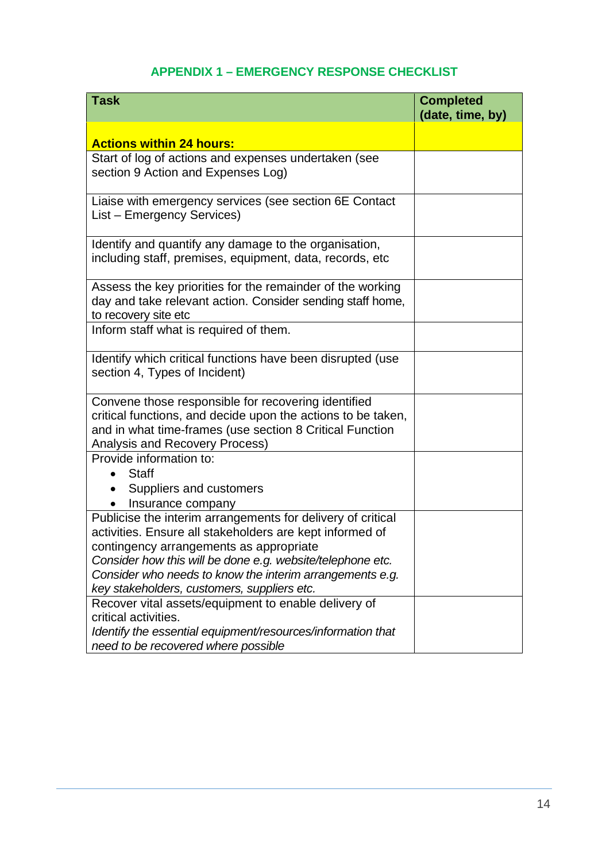#### **APPENDIX 1 – EMERGENCY RESPONSE CHECKLIST**

| <b>Task</b>                                                  | <b>Completed</b><br>(date, time, by) |
|--------------------------------------------------------------|--------------------------------------|
|                                                              |                                      |
| <b>Actions within 24 hours:</b>                              |                                      |
| Start of log of actions and expenses undertaken (see         |                                      |
| section 9 Action and Expenses Log)                           |                                      |
| Liaise with emergency services (see section 6E Contact       |                                      |
| List - Emergency Services)                                   |                                      |
| Identify and quantify any damage to the organisation,        |                                      |
| including staff, premises, equipment, data, records, etc     |                                      |
| Assess the key priorities for the remainder of the working   |                                      |
| day and take relevant action. Consider sending staff home,   |                                      |
| to recovery site etc                                         |                                      |
| Inform staff what is required of them.                       |                                      |
| Identify which critical functions have been disrupted (use   |                                      |
| section 4, Types of Incident)                                |                                      |
| Convene those responsible for recovering identified          |                                      |
| critical functions, and decide upon the actions to be taken, |                                      |
| and in what time-frames (use section 8 Critical Function     |                                      |
| Analysis and Recovery Process)                               |                                      |
| Provide information to:                                      |                                      |
| <b>Staff</b>                                                 |                                      |
| Suppliers and customers                                      |                                      |
| Insurance company                                            |                                      |
| Publicise the interim arrangements for delivery of critical  |                                      |
| activities. Ensure all stakeholders are kept informed of     |                                      |
| contingency arrangements as appropriate                      |                                      |
| Consider how this will be done e.g. website/telephone etc.   |                                      |
| Consider who needs to know the interim arrangements e.g.     |                                      |
| key stakeholders, customers, suppliers etc.                  |                                      |
| Recover vital assets/equipment to enable delivery of         |                                      |
| critical activities.                                         |                                      |
| Identify the essential equipment/resources/information that  |                                      |
| need to be recovered where possible                          |                                      |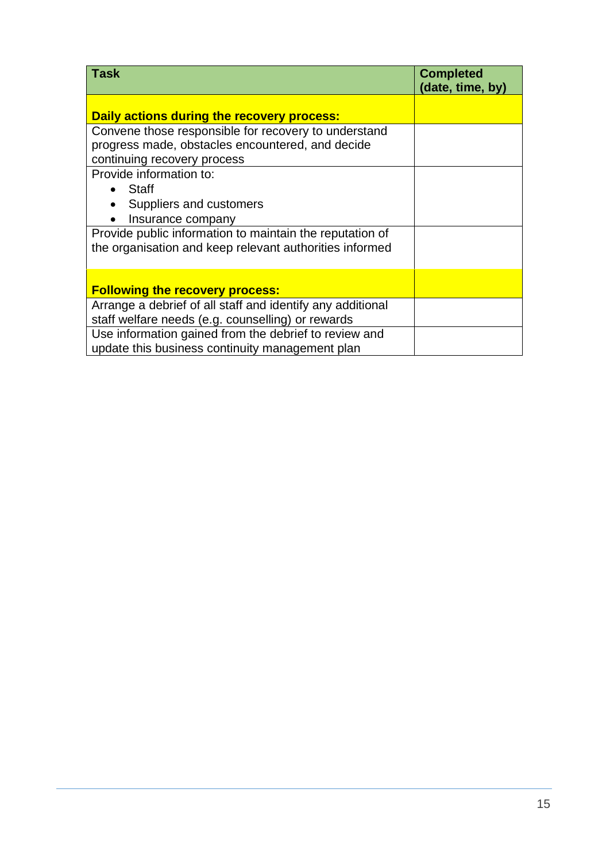| <b>Task</b>                                                | <b>Completed</b><br>(date, time, by) |
|------------------------------------------------------------|--------------------------------------|
| Daily actions during the recovery process:                 |                                      |
| Convene those responsible for recovery to understand       |                                      |
| progress made, obstacles encountered, and decide           |                                      |
| continuing recovery process                                |                                      |
| Provide information to:                                    |                                      |
| $\bullet$ Staff                                            |                                      |
| Suppliers and customers                                    |                                      |
| Insurance company                                          |                                      |
| Provide public information to maintain the reputation of   |                                      |
| the organisation and keep relevant authorities informed    |                                      |
|                                                            |                                      |
| <b>Following the recovery process:</b>                     |                                      |
| Arrange a debrief of all staff and identify any additional |                                      |
| staff welfare needs (e.g. counselling) or rewards          |                                      |
| Use information gained from the debrief to review and      |                                      |
| update this business continuity management plan            |                                      |